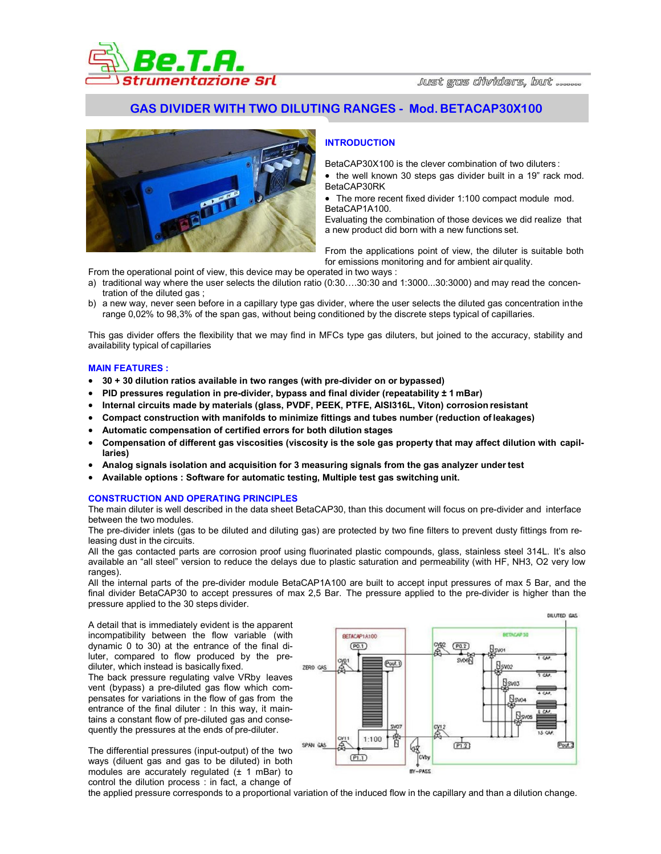

# **GAS DIVIDER WITH TWO DILUTING RANGES - Mod. BETACAP30X100**



## **INTRODUCTION**

BetaCAP30X100 is the clever combination of two diluters :

- the well known 30 steps gas divider built in a 19" rack mod. BetaCAP30RK
- The more recent fixed divider 1:100 compact module mod. BetaCAP1A100.

Evaluating the combination of those devices we did realize that a new product did born with a new functions set.

From the applications point of view, the diluter is suitable both for emissions monitoring and for ambient air quality.

From the operational point of view, this device may be operated in two ways :

- a) traditional way where the user selects the dilution ratio (0:30....30:30 and 1:3000...30:3000) and may read the concentration of the diluted gas ;
- b) a new way, never seen before in a capillary type gas divider, where the user selects the diluted gas concentration in the range 0,02% to 98,3% of the span gas, without being conditioned by the discrete steps typical of capillaries.

This gas divider offers the flexibility that we may find in MFCs type gas diluters, but joined to the accuracy, stability and availability typical of capillaries

### **MAIN FEATURES :**

- **30 + 30 dilution ratios available in two ranges (with pre-divider on or bypassed)**
- **PID pressures regulation in pre-divider, bypass and final divider (repeatability ± 1 mBar)**
- **Internal circuits made by materials (glass, PVDF, PEEK, PTFE, AISI316L, Viton) corrosion resistant**
- **Compact construction with manifolds to minimize fittings and tubes number (reduction of leakages)**
- **Automatic compensation of certified errors for both dilution stages**
- **Compensation of different gas viscosities (viscosity is the sole gas property that may affect dilution with capillaries)**
- **Analog signals isolation and acquisition for 3 measuring signals from the gas analyzer under test**
- **Available options : Software for automatic testing, Multiple test gas switching unit.**

#### **CONSTRUCTION AND OPERATING PRINCIPLES**

The main diluter is well described in the data sheet BetaCAP30, than this document will focus on pre-divider and interface between the two modules.

The pre-divider inlets (gas to be diluted and diluting gas) are protected by two fine filters to prevent dusty fittings from releasing dust in the circuits.

All the gas contacted parts are corrosion proof using fluorinated plastic compounds, glass, stainless steel 314L. It's also available an "all steel" version to reduce the delays due to plastic saturation and permeability (with HF, NH3, O2 very low ranges).

All the internal parts of the pre-divider module BetaCAP1A100 are built to accept input pressures of max 5 Bar, and the final divider BetaCAP30 to accept pressures of max 2,5 Bar. The pressure applied to the pre-divider is higher than the pressure applied to the 30 steps divider.

A detail that is immediately evident is the apparent incompatibility between the flow variable (with dynamic 0 to 30) at the entrance of the final diluter, compared to flow produced by the prediluter, which instead is basically fixed. The back pressure regulating valve VRby leaves vent (bypass) a pre-diluted gas flow which compensates for variations in the flow of gas from the entrance of the final diluter : In this way, it maintains a constant flow of pre-diluted gas and consequently the pressures at the ends of pre-diluter.

The differential pressures (input-output) of the two ways (diluent gas and gas to be diluted) in both modules are accurately regulated (± 1 mBar) to control the dilution process : in fact, a change of



the applied pressure corresponds to a proportional variation of the induced flow in the capillary and than a dilution change.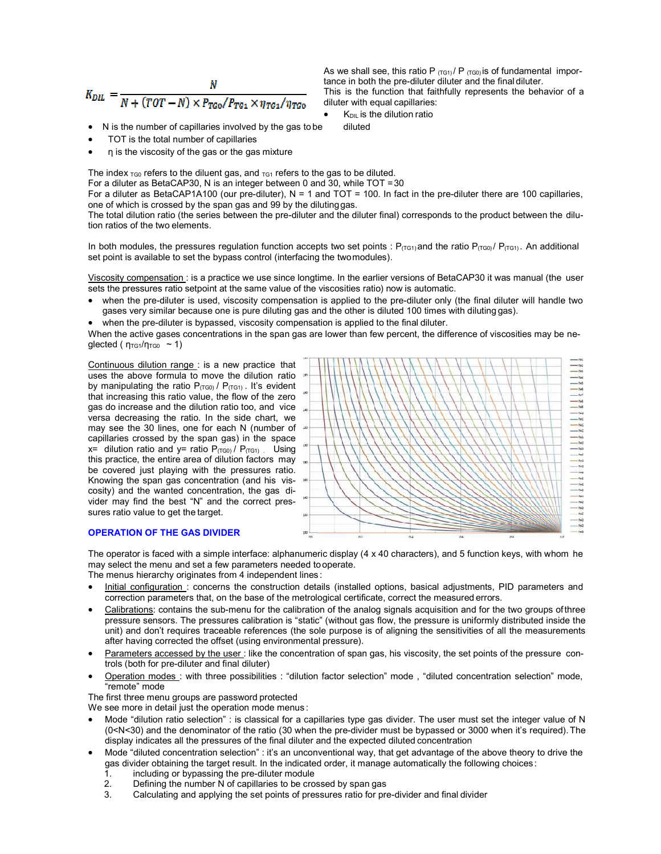$$
K_{DL} = \frac{N}{N + (TOT - N) \times P_{TG0} / P_{TG1} \times \eta_{TG1} / \eta_{TG0}}
$$

• N is the number of capillaries involved by the gas to be diluted

- TOT is the total number of capillaries
- η is the viscosity of the gas or the gas mixture

The index  $T_{G0}$  refers to the diluent gas, and  $T_{G1}$  refers to the gas to be diluted.

For a diluter as BetaCAP30, N is an integer between 0 and 30, while TOT = 30

For a diluter as BetaCAP1A100 (our pre-diluter),  $N = 1$  and  $TOT = 100$ . In fact in the pre-diluter there are 100 capillaries, one of which is crossed by the span gas and 99 by the diluting gas.

The total dilution ratio (the series between the pre-diluter and the diluter final) corresponds to the product between the dilution ratios of the two elements.

In both modules, the pressures regulation function accepts two set points :  $P_{(TG1)}$  and the ratio  $P_{(TG1)}$ . An additional set point is available to set the bypass control (interfacing the two modules).

Viscosity compensation : is a practice we use since longtime. In the earlier versions of BetaCAP30 it was manual (the user sets the pressures ratio setpoint at the same value of the viscosities ratio) now is automatic.

• when the pre-diluter is used, viscosity compensation is applied to the pre-diluter only (the final diluter will handle two gases very similar because one is pure diluting gas and the other is diluted 100 times with diluting gas).

• when the pre-diluter is bypassed, viscosity compensation is applied to the final diluter.

When the active gases concentrations in the span gas are lower than few percent, the difference of viscosities may be neglected ( $\eta_{\text{TG1}}/\eta_{\text{TG0}} \approx 1$ )

Continuous dilution range : is a new practice that uses the above formula to move the dilution ratio by manipulating the ratio  $P_{(TG0)}$  /  $P_{(TG1)}$ . It's evident that increasing this ratio value, the flow of the zero gas do increase and the dilution ratio too, and vice versa decreasing the ratio. In the side chart, we may see the 30 lines, one for each N (number of capillaries crossed by the span gas) in the space x= dilution ratio and y= ratio  $P_{(TG0)} / P_{(TG1)}$ . Using this practice, the entire area of dilution factors may be covered just playing with the pressures ratio. Knowing the span gas concentration (and his viscosity) and the wanted concentration, the gas divider may find the best "N" and the correct pressures ratio value to get the target.

## **OPERATION OF THE GAS DIVIDER**



The operator is faced with a simple interface: alphanumeric display (4 x 40 characters), and 5 function keys, with whom he may select the menu and set a few parameters needed to operate.

The menus hierarchy originates from 4 independent lines :

- Initial configuration : concerns the construction details (installed options, basical adjustments, PID parameters and correction parameters that, on the base of the metrological certificate, correct the measured errors.
- Calibrations: contains the sub-menu for the calibration of the analog signals acquisition and for the two groups of three pressure sensors. The pressures calibration is "static" (without gas flow, the pressure is uniformly distributed inside the unit) and don't requires traceable references (the sole purpose is of aligning the sensitivities of all the measurements after having corrected the offset (using environmental pressure).
- Parameters accessed by the user : like the concentration of span gas, his viscosity, the set points of the pressure controls (both for pre-diluter and final diluter)
- Operation modes : with three possibilities : "dilution factor selection" mode , "diluted concentration selection" mode, "remote" mode

The first three menu groups are password protected

We see more in detail just the operation mode menus:

- Mode "dilution ratio selection" : is classical for a capillaries type gas divider. The user must set the integer value of N (0<N<30) and the denominator of the ratio (30 when the pre-divider must be bypassed or 3000 when it's required). The display indicates all the pressures of the final diluter and the expected diluted concentration
- Mode "diluted concentration selection" : it's an unconventional way, that get advantage of the above theory to drive the gas divider obtaining the target result. In the indicated order, it manage automatically the following choices :
	- 1. including or bypassing the pre-diluter module
	- 2. Defining the number N of capillaries to be crossed by span gas
	- Calculating and applying the set points of pressures ratio for pre-divider and final divider

As we shall see, this ratio P  $(TG1)$  / P  $(TG0)$  is of fundamental importance in both the pre-diluter diluter and the final diluter.

This is the function that faithfully represents the behavior of a diluter with equal capillaries:

 $K<sub>DIL</sub>$  is the dilution ratio